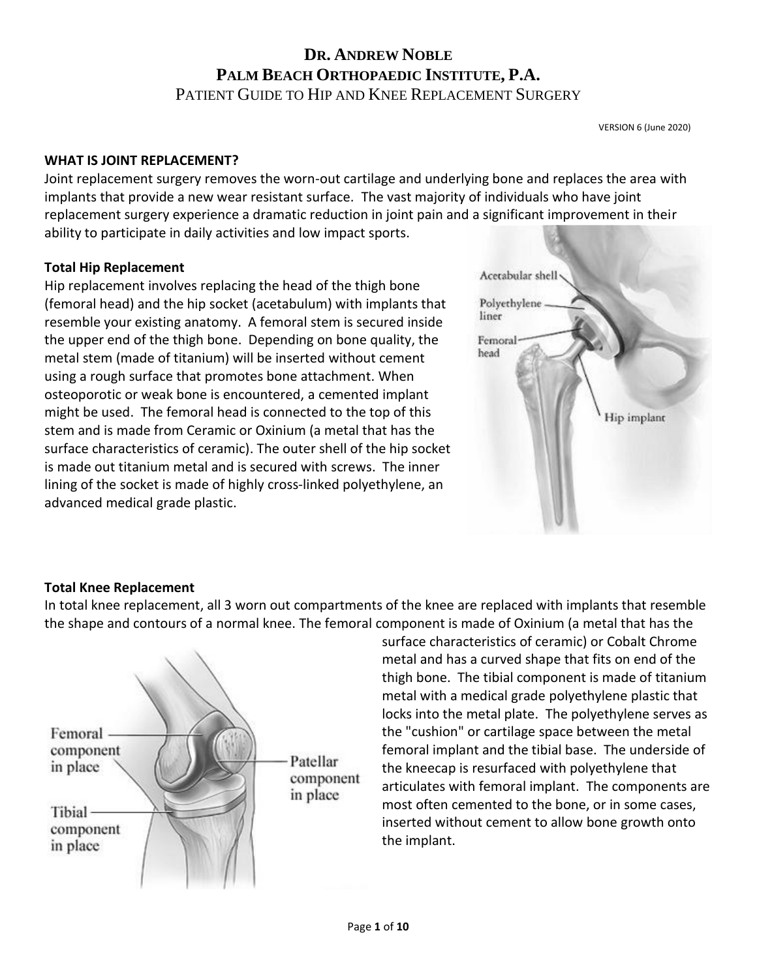#### **WHAT IS JOINT REPLACEMENT?**

Joint replacement surgery removes the worn-out cartilage and underlying bone and replaces the area with implants that provide a new wear resistant surface. The vast majority of individuals who have joint replacement surgery experience a dramatic reduction in joint pain and a significant improvement in their ability to participate in daily activities and low impact sports.

#### **Total Hip Replacement**

Hip replacement involves replacing the head of the thigh bone (femoral head) and the hip socket (acetabulum) with implants that resemble your existing anatomy. A femoral stem is secured inside the upper end of the thigh bone. Depending on bone quality, the metal stem (made of titanium) will be inserted without cement using a rough surface that promotes bone attachment. When osteoporotic or weak bone is encountered, a cemented implant might be used. The femoral head is connected to the top of this stem and is made from Ceramic or Oxinium (a metal that has the surface characteristics of ceramic). The outer shell of the hip socket is made out titanium metal and is secured with screws. The inner lining of the socket is made of highly cross-linked polyethylene, an advanced medical grade plastic.



#### **Total Knee Replacement**

In total knee replacement, all 3 worn out compartments of the knee are replaced with implants that resemble the shape and contours of a normal knee. The femoral component is made of Oxinium (a metal that has the



surface characteristics of ceramic) or Cobalt Chrome metal and has a curved shape that fits on end of the thigh bone. The tibial component is made of titanium metal with a medical grade polyethylene plastic that locks into the metal plate. The polyethylene serves as the "cushion" or cartilage space between the metal femoral implant and the tibial base. The underside of the kneecap is resurfaced with polyethylene that articulates with femoral implant. The components are most often cemented to the bone, or in some cases, inserted without cement to allow bone growth onto the implant.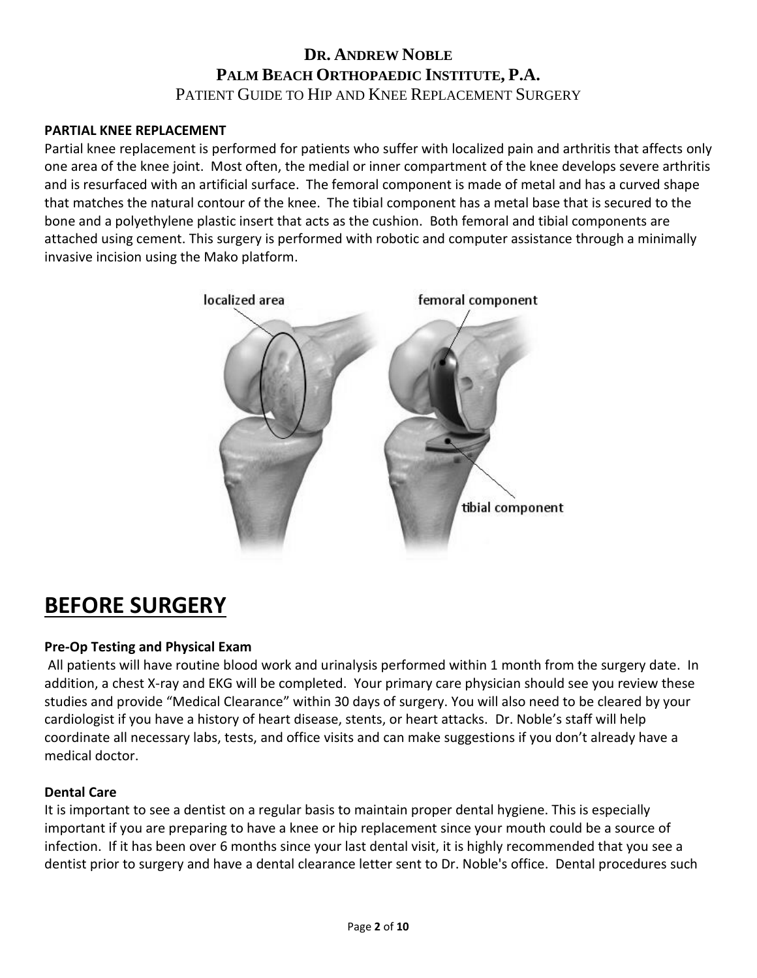#### **PARTIAL KNEE REPLACEMENT**

Partial knee replacement is performed for patients who suffer with localized pain and arthritis that affects only one area of the knee joint. Most often, the medial or inner compartment of the knee develops severe arthritis and is resurfaced with an artificial surface. The femoral component is made of metal and has a curved shape that matches the natural contour of the knee. The tibial component has a metal base that is secured to the bone and a polyethylene plastic insert that acts as the cushion. Both femoral and tibial components are attached using cement. This surgery is performed with robotic and computer assistance through a minimally invasive incision using the Mako platform.



# **BEFORE SURGERY**

#### **Pre-Op Testing and Physical Exam**

All patients will have routine blood work and urinalysis performed within 1 month from the surgery date. In addition, a chest X-ray and EKG will be completed. Your primary care physician should see you review these studies and provide "Medical Clearance" within 30 days of surgery. You will also need to be cleared by your cardiologist if you have a history of heart disease, stents, or heart attacks. Dr. Noble's staff will help coordinate all necessary labs, tests, and office visits and can make suggestions if you don't already have a medical doctor.

#### **Dental Care**

It is important to see a dentist on a regular basis to maintain proper dental hygiene. This is especially important if you are preparing to have a knee or hip replacement since your mouth could be a source of infection. If it has been over 6 months since your last dental visit, it is highly recommended that you see a dentist prior to surgery and have a dental clearance letter sent to Dr. Noble's office. Dental procedures such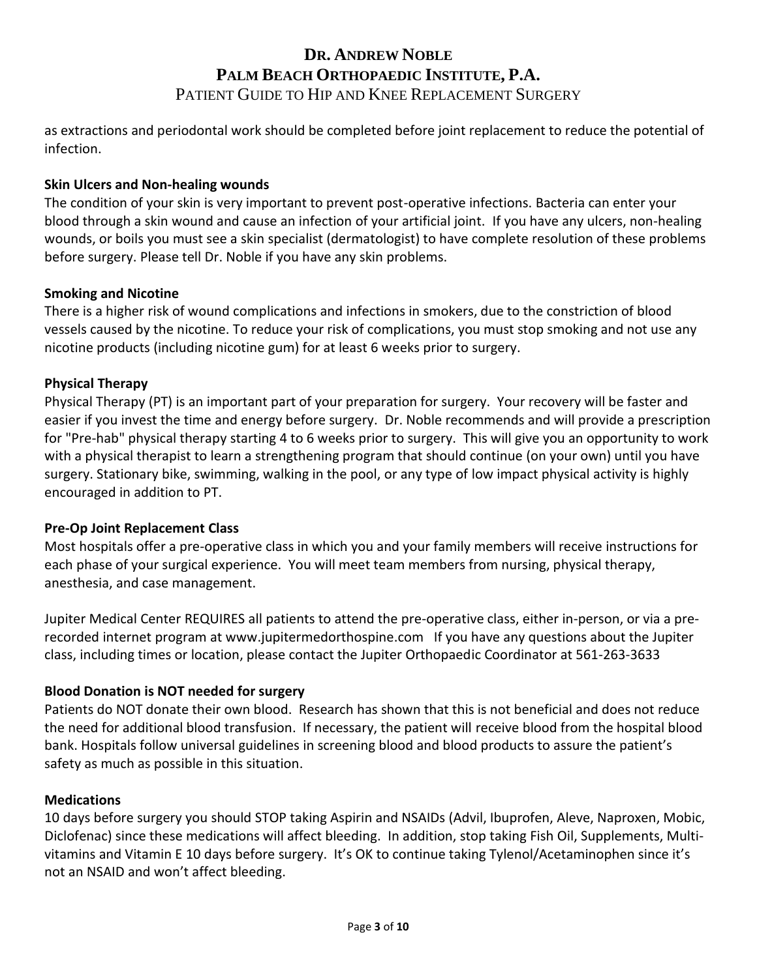as extractions and periodontal work should be completed before joint replacement to reduce the potential of infection.

#### **Skin Ulcers and Non-healing wounds**

The condition of your skin is very important to prevent post-operative infections. Bacteria can enter your blood through a skin wound and cause an infection of your artificial joint. If you have any ulcers, non-healing wounds, or boils you must see a skin specialist (dermatologist) to have complete resolution of these problems before surgery. Please tell Dr. Noble if you have any skin problems.

#### **Smoking and Nicotine**

There is a higher risk of wound complications and infections in smokers, due to the constriction of blood vessels caused by the nicotine. To reduce your risk of complications, you must stop smoking and not use any nicotine products (including nicotine gum) for at least 6 weeks prior to surgery.

## **Physical Therapy**

Physical Therapy (PT) is an important part of your preparation for surgery. Your recovery will be faster and easier if you invest the time and energy before surgery. Dr. Noble recommends and will provide a prescription for "Pre-hab" physical therapy starting 4 to 6 weeks prior to surgery. This will give you an opportunity to work with a physical therapist to learn a strengthening program that should continue (on your own) until you have surgery. Stationary bike, swimming, walking in the pool, or any type of low impact physical activity is highly encouraged in addition to PT.

#### **Pre-Op Joint Replacement Class**

Most hospitals offer a pre-operative class in which you and your family members will receive instructions for each phase of your surgical experience. You will meet team members from nursing, physical therapy, anesthesia, and case management.

Jupiter Medical Center REQUIRES all patients to attend the pre-operative class, either in-person, or via a prerecorded internet program at www.jupitermedorthospine.com If you have any questions about the Jupiter class, including times or location, please contact the Jupiter Orthopaedic Coordinator at 561-263-3633

## **Blood Donation is NOT needed for surgery**

Patients do NOT donate their own blood. Research has shown that this is not beneficial and does not reduce the need for additional blood transfusion. If necessary, the patient will receive blood from the hospital blood bank. Hospitals follow universal guidelines in screening blood and blood products to assure the patient's safety as much as possible in this situation.

#### **Medications**

10 days before surgery you should STOP taking Aspirin and NSAIDs (Advil, Ibuprofen, Aleve, Naproxen, Mobic, Diclofenac) since these medications will affect bleeding. In addition, stop taking Fish Oil, Supplements, Multivitamins and Vitamin E 10 days before surgery. It's OK to continue taking Tylenol/Acetaminophen since it's not an NSAID and won't affect bleeding.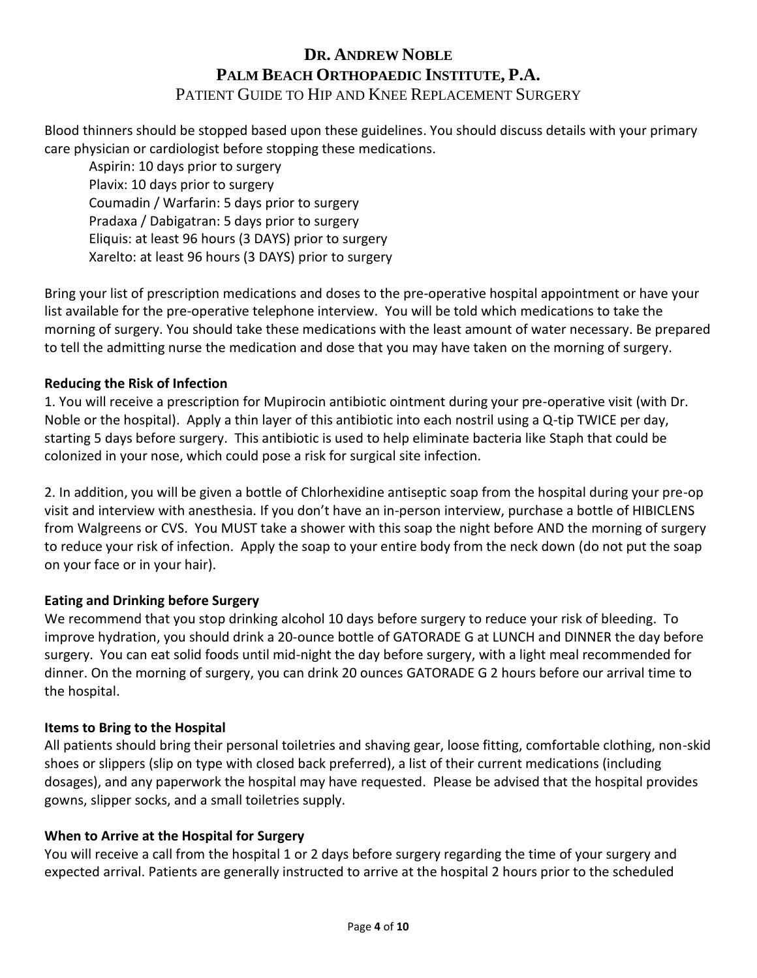Blood thinners should be stopped based upon these guidelines. You should discuss details with your primary care physician or cardiologist before stopping these medications.

Aspirin: 10 days prior to surgery Plavix: 10 days prior to surgery Coumadin / Warfarin: 5 days prior to surgery Pradaxa / Dabigatran: 5 days prior to surgery Eliquis: at least 96 hours (3 DAYS) prior to surgery Xarelto: at least 96 hours (3 DAYS) prior to surgery

Bring your list of prescription medications and doses to the pre-operative hospital appointment or have your list available for the pre-operative telephone interview. You will be told which medications to take the morning of surgery. You should take these medications with the least amount of water necessary. Be prepared to tell the admitting nurse the medication and dose that you may have taken on the morning of surgery.

### **Reducing the Risk of Infection**

1. You will receive a prescription for Mupirocin antibiotic ointment during your pre-operative visit (with Dr. Noble or the hospital). Apply a thin layer of this antibiotic into each nostril using a Q-tip TWICE per day, starting 5 days before surgery. This antibiotic is used to help eliminate bacteria like Staph that could be colonized in your nose, which could pose a risk for surgical site infection.

2. In addition, you will be given a bottle of Chlorhexidine antiseptic soap from the hospital during your pre-op visit and interview with anesthesia. If you don't have an in-person interview, purchase a bottle of HIBICLENS from Walgreens or CVS. You MUST take a shower with this soap the night before AND the morning of surgery to reduce your risk of infection. Apply the soap to your entire body from the neck down (do not put the soap on your face or in your hair).

#### **Eating and Drinking before Surgery**

We recommend that you stop drinking alcohol 10 days before surgery to reduce your risk of bleeding. To improve hydration, you should drink a 20-ounce bottle of GATORADE G at LUNCH and DINNER the day before surgery. You can eat solid foods until mid-night the day before surgery, with a light meal recommended for dinner. On the morning of surgery, you can drink 20 ounces GATORADE G 2 hours before our arrival time to the hospital.

#### **Items to Bring to the Hospital**

All patients should bring their personal toiletries and shaving gear, loose fitting, comfortable clothing, non-skid shoes or slippers (slip on type with closed back preferred), a list of their current medications (including dosages), and any paperwork the hospital may have requested. Please be advised that the hospital provides gowns, slipper socks, and a small toiletries supply.

#### **When to Arrive at the Hospital for Surgery**

You will receive a call from the hospital 1 or 2 days before surgery regarding the time of your surgery and expected arrival. Patients are generally instructed to arrive at the hospital 2 hours prior to the scheduled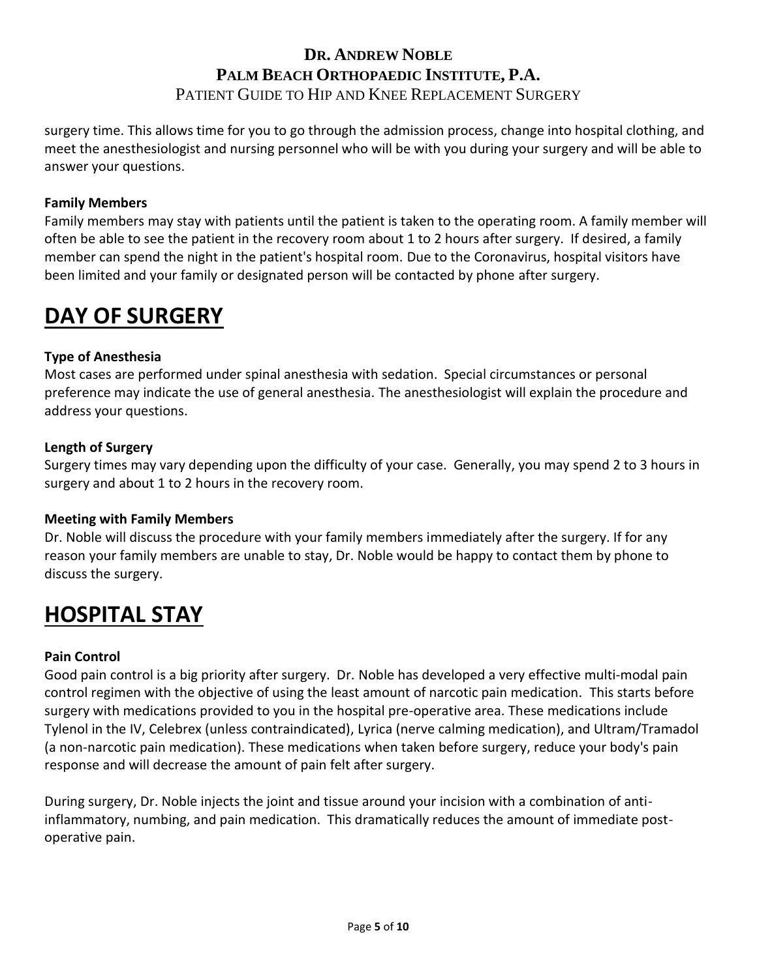surgery time. This allows time for you to go through the admission process, change into hospital clothing, and meet the anesthesiologist and nursing personnel who will be with you during your surgery and will be able to answer your questions.

### **Family Members**

Family members may stay with patients until the patient is taken to the operating room. A family member will often be able to see the patient in the recovery room about 1 to 2 hours after surgery. If desired, a family member can spend the night in the patient's hospital room. Due to the Coronavirus, hospital visitors have been limited and your family or designated person will be contacted by phone after surgery.

# **DAY OF SURGERY**

### **Type of Anesthesia**

Most cases are performed under spinal anesthesia with sedation. Special circumstances or personal preference may indicate the use of general anesthesia. The anesthesiologist will explain the procedure and address your questions.

#### **Length of Surgery**

Surgery times may vary depending upon the difficulty of your case. Generally, you may spend 2 to 3 hours in surgery and about 1 to 2 hours in the recovery room.

#### **Meeting with Family Members**

Dr. Noble will discuss the procedure with your family members immediately after the surgery. If for any reason your family members are unable to stay, Dr. Noble would be happy to contact them by phone to discuss the surgery.

# **HOSPITAL STAY**

#### **Pain Control**

Good pain control is a big priority after surgery. Dr. Noble has developed a very effective multi-modal pain control regimen with the objective of using the least amount of narcotic pain medication. This starts before surgery with medications provided to you in the hospital pre-operative area. These medications include Tylenol in the IV, Celebrex (unless contraindicated), Lyrica (nerve calming medication), and Ultram/Tramadol (a non-narcotic pain medication). These medications when taken before surgery, reduce your body's pain response and will decrease the amount of pain felt after surgery.

During surgery, Dr. Noble injects the joint and tissue around your incision with a combination of antiinflammatory, numbing, and pain medication. This dramatically reduces the amount of immediate postoperative pain.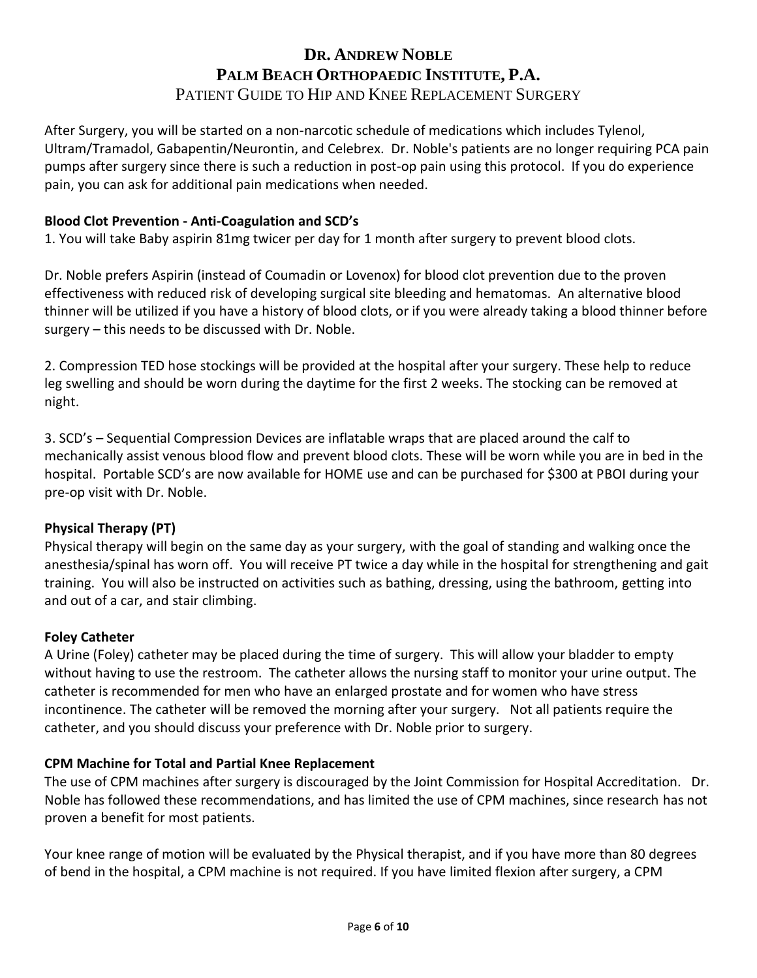After Surgery, you will be started on a non-narcotic schedule of medications which includes Tylenol, Ultram/Tramadol, Gabapentin/Neurontin, and Celebrex. Dr. Noble's patients are no longer requiring PCA pain pumps after surgery since there is such a reduction in post-op pain using this protocol. If you do experience pain, you can ask for additional pain medications when needed.

### **Blood Clot Prevention - Anti-Coagulation and SCD's**

1. You will take Baby aspirin 81mg twicer per day for 1 month after surgery to prevent blood clots.

Dr. Noble prefers Aspirin (instead of Coumadin or Lovenox) for blood clot prevention due to the proven effectiveness with reduced risk of developing surgical site bleeding and hematomas. An alternative blood thinner will be utilized if you have a history of blood clots, or if you were already taking a blood thinner before surgery – this needs to be discussed with Dr. Noble.

2. Compression TED hose stockings will be provided at the hospital after your surgery. These help to reduce leg swelling and should be worn during the daytime for the first 2 weeks. The stocking can be removed at night.

3. SCD's – Sequential Compression Devices are inflatable wraps that are placed around the calf to mechanically assist venous blood flow and prevent blood clots. These will be worn while you are in bed in the hospital. Portable SCD's are now available for HOME use and can be purchased for \$300 at PBOI during your pre-op visit with Dr. Noble.

#### **Physical Therapy (PT)**

Physical therapy will begin on the same day as your surgery, with the goal of standing and walking once the anesthesia/spinal has worn off. You will receive PT twice a day while in the hospital for strengthening and gait training. You will also be instructed on activities such as bathing, dressing, using the bathroom, getting into and out of a car, and stair climbing.

#### **Foley Catheter**

A Urine (Foley) catheter may be placed during the time of surgery. This will allow your bladder to empty without having to use the restroom. The catheter allows the nursing staff to monitor your urine output. The catheter is recommended for men who have an enlarged prostate and for women who have stress incontinence. The catheter will be removed the morning after your surgery. Not all patients require the catheter, and you should discuss your preference with Dr. Noble prior to surgery.

#### **CPM Machine for Total and Partial Knee Replacement**

The use of CPM machines after surgery is discouraged by the Joint Commission for Hospital Accreditation. Dr. Noble has followed these recommendations, and has limited the use of CPM machines, since research has not proven a benefit for most patients.

Your knee range of motion will be evaluated by the Physical therapist, and if you have more than 80 degrees of bend in the hospital, a CPM machine is not required. If you have limited flexion after surgery, a CPM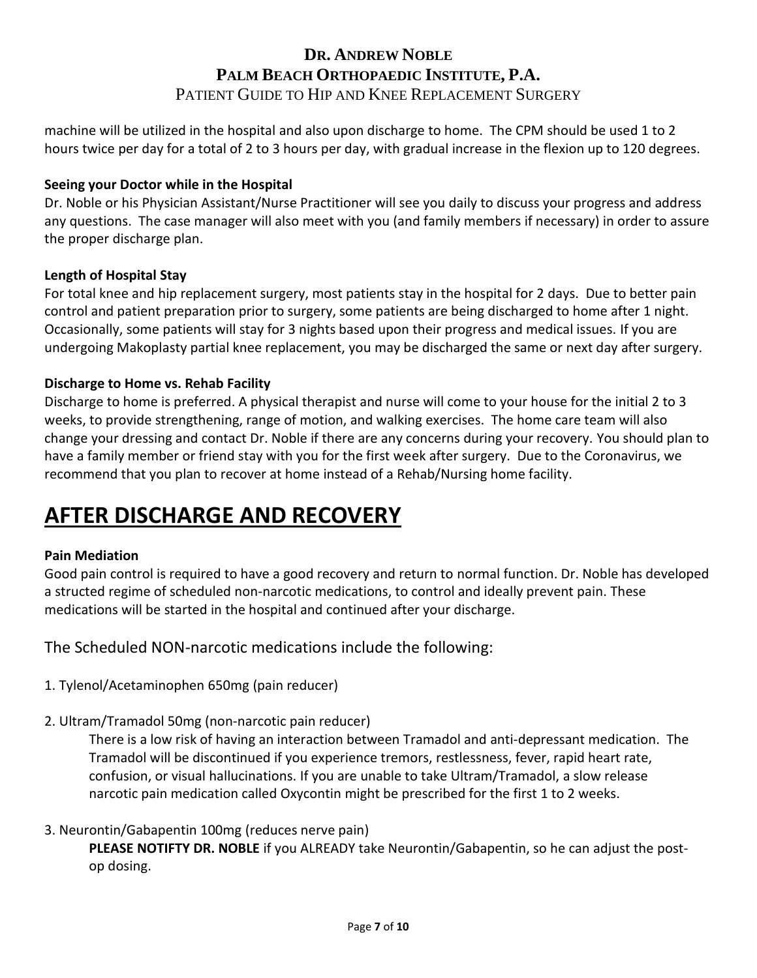machine will be utilized in the hospital and also upon discharge to home. The CPM should be used 1 to 2 hours twice per day for a total of 2 to 3 hours per day, with gradual increase in the flexion up to 120 degrees.

### **Seeing your Doctor while in the Hospital**

Dr. Noble or his Physician Assistant/Nurse Practitioner will see you daily to discuss your progress and address any questions. The case manager will also meet with you (and family members if necessary) in order to assure the proper discharge plan.

### **Length of Hospital Stay**

For total knee and hip replacement surgery, most patients stay in the hospital for 2 days. Due to better pain control and patient preparation prior to surgery, some patients are being discharged to home after 1 night. Occasionally, some patients will stay for 3 nights based upon their progress and medical issues. If you are undergoing Makoplasty partial knee replacement, you may be discharged the same or next day after surgery.

### **Discharge to Home vs. Rehab Facility**

Discharge to home is preferred. A physical therapist and nurse will come to your house for the initial 2 to 3 weeks, to provide strengthening, range of motion, and walking exercises. The home care team will also change your dressing and contact Dr. Noble if there are any concerns during your recovery. You should plan to have a family member or friend stay with you for the first week after surgery. Due to the Coronavirus, we recommend that you plan to recover at home instead of a Rehab/Nursing home facility.

# **AFTER DISCHARGE AND RECOVERY**

#### **Pain Mediation**

Good pain control is required to have a good recovery and return to normal function. Dr. Noble has developed a structed regime of scheduled non-narcotic medications, to control and ideally prevent pain. These medications will be started in the hospital and continued after your discharge.

The Scheduled NON-narcotic medications include the following:

- 1. Tylenol/Acetaminophen 650mg (pain reducer)
- 2. Ultram/Tramadol 50mg (non-narcotic pain reducer)

There is a low risk of having an interaction between Tramadol and anti-depressant medication. The Tramadol will be discontinued if you experience tremors, restlessness, fever, rapid heart rate, confusion, or visual hallucinations. If you are unable to take Ultram/Tramadol, a slow release narcotic pain medication called Oxycontin might be prescribed for the first 1 to 2 weeks.

3. Neurontin/Gabapentin 100mg (reduces nerve pain)

**PLEASE NOTIFTY DR. NOBLE** if you ALREADY take Neurontin/Gabapentin, so he can adjust the postop dosing.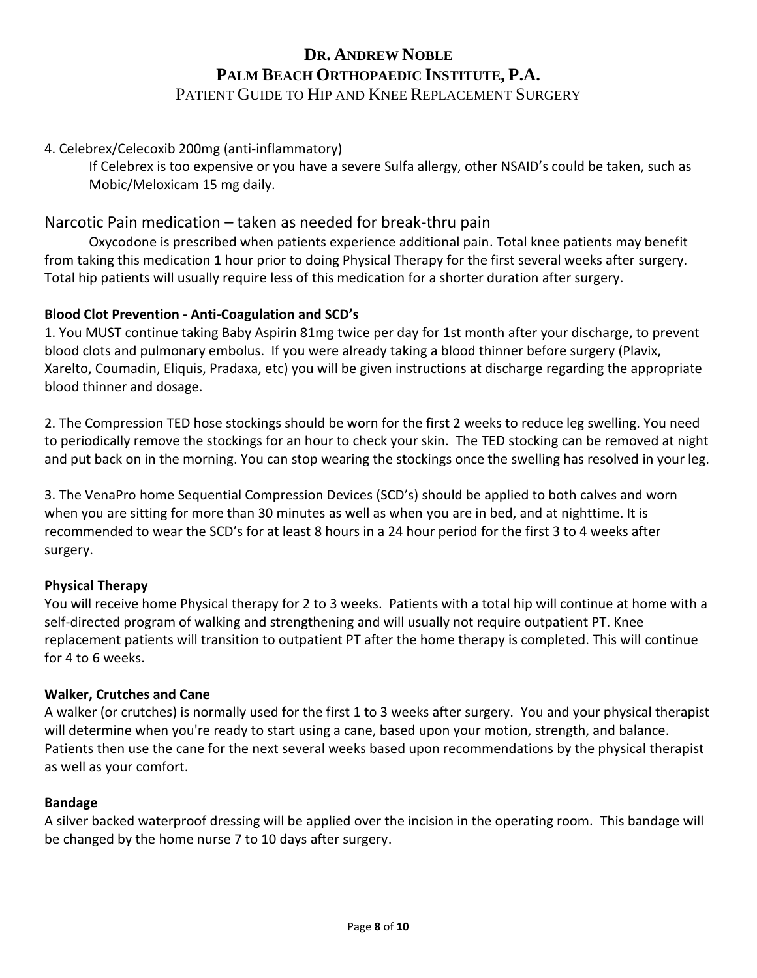### 4. Celebrex/Celecoxib 200mg (anti-inflammatory)

If Celebrex is too expensive or you have a severe Sulfa allergy, other NSAID's could be taken, such as Mobic/Meloxicam 15 mg daily.

### Narcotic Pain medication – taken as needed for break-thru pain

Oxycodone is prescribed when patients experience additional pain. Total knee patients may benefit from taking this medication 1 hour prior to doing Physical Therapy for the first several weeks after surgery. Total hip patients will usually require less of this medication for a shorter duration after surgery.

#### **Blood Clot Prevention - Anti-Coagulation and SCD's**

1. You MUST continue taking Baby Aspirin 81mg twice per day for 1st month after your discharge, to prevent blood clots and pulmonary embolus. If you were already taking a blood thinner before surgery (Plavix, Xarelto, Coumadin, Eliquis, Pradaxa, etc) you will be given instructions at discharge regarding the appropriate blood thinner and dosage.

2. The Compression TED hose stockings should be worn for the first 2 weeks to reduce leg swelling. You need to periodically remove the stockings for an hour to check your skin. The TED stocking can be removed at night and put back on in the morning. You can stop wearing the stockings once the swelling has resolved in your leg.

3. The VenaPro home Sequential Compression Devices (SCD's) should be applied to both calves and worn when you are sitting for more than 30 minutes as well as when you are in bed, and at nighttime. It is recommended to wear the SCD's for at least 8 hours in a 24 hour period for the first 3 to 4 weeks after surgery.

#### **Physical Therapy**

You will receive home Physical therapy for 2 to 3 weeks. Patients with a total hip will continue at home with a self-directed program of walking and strengthening and will usually not require outpatient PT. Knee replacement patients will transition to outpatient PT after the home therapy is completed. This will continue for 4 to 6 weeks.

#### **Walker, Crutches and Cane**

A walker (or crutches) is normally used for the first 1 to 3 weeks after surgery. You and your physical therapist will determine when you're ready to start using a cane, based upon your motion, strength, and balance. Patients then use the cane for the next several weeks based upon recommendations by the physical therapist as well as your comfort.

#### **Bandage**

A silver backed waterproof dressing will be applied over the incision in the operating room. This bandage will be changed by the home nurse 7 to 10 days after surgery.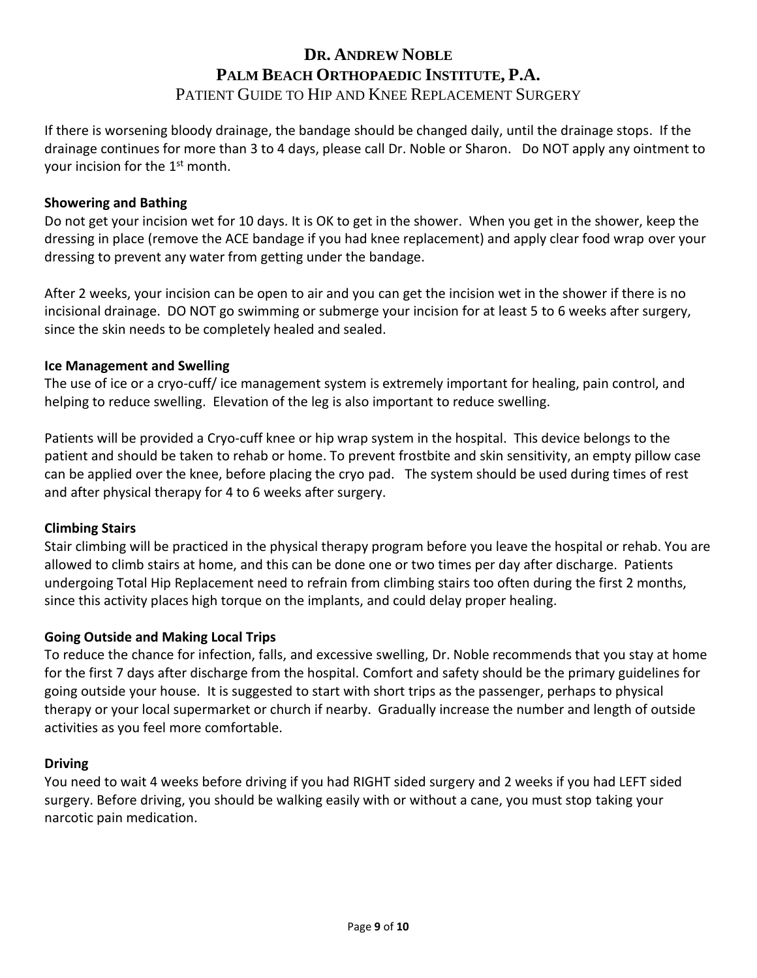If there is worsening bloody drainage, the bandage should be changed daily, until the drainage stops. If the drainage continues for more than 3 to 4 days, please call Dr. Noble or Sharon. Do NOT apply any ointment to your incision for the 1st month.

#### **Showering and Bathing**

Do not get your incision wet for 10 days. It is OK to get in the shower. When you get in the shower, keep the dressing in place (remove the ACE bandage if you had knee replacement) and apply clear food wrap over your dressing to prevent any water from getting under the bandage.

After 2 weeks, your incision can be open to air and you can get the incision wet in the shower if there is no incisional drainage. DO NOT go swimming or submerge your incision for at least 5 to 6 weeks after surgery, since the skin needs to be completely healed and sealed.

#### **Ice Management and Swelling**

The use of ice or a cryo-cuff/ ice management system is extremely important for healing, pain control, and helping to reduce swelling. Elevation of the leg is also important to reduce swelling.

Patients will be provided a Cryo-cuff knee or hip wrap system in the hospital. This device belongs to the patient and should be taken to rehab or home. To prevent frostbite and skin sensitivity, an empty pillow case can be applied over the knee, before placing the cryo pad. The system should be used during times of rest and after physical therapy for 4 to 6 weeks after surgery.

#### **Climbing Stairs**

Stair climbing will be practiced in the physical therapy program before you leave the hospital or rehab. You are allowed to climb stairs at home, and this can be done one or two times per day after discharge. Patients undergoing Total Hip Replacement need to refrain from climbing stairs too often during the first 2 months, since this activity places high torque on the implants, and could delay proper healing.

#### **Going Outside and Making Local Trips**

To reduce the chance for infection, falls, and excessive swelling, Dr. Noble recommends that you stay at home for the first 7 days after discharge from the hospital. Comfort and safety should be the primary guidelines for going outside your house. It is suggested to start with short trips as the passenger, perhaps to physical therapy or your local supermarket or church if nearby. Gradually increase the number and length of outside activities as you feel more comfortable.

#### **Driving**

You need to wait 4 weeks before driving if you had RIGHT sided surgery and 2 weeks if you had LEFT sided surgery. Before driving, you should be walking easily with or without a cane, you must stop taking your narcotic pain medication.